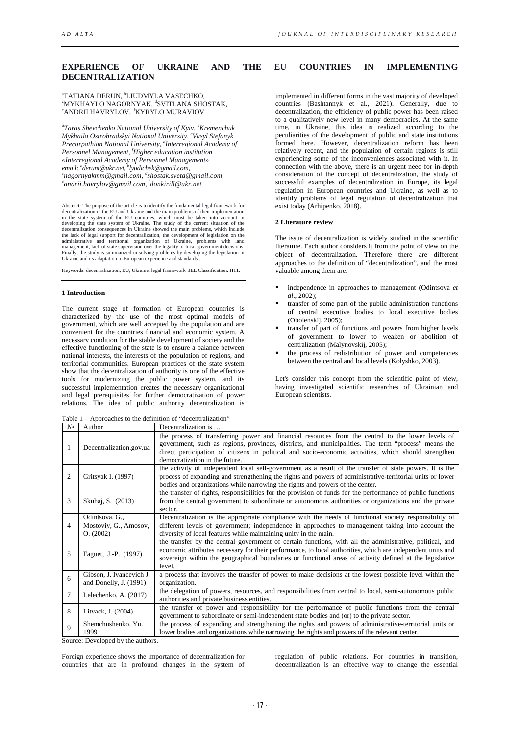# **EXPERIENCE OF UKRAINE AND THE EU COUNTRIES IN IMPLEMENTING DECENTRALIZATION**

**atatiana derun, <sup>b</sup>liudmyla vasechko,**<br>smykhavio nagobnya*k* asviti ana sho **"MYKHAYLO NAGORNYAK, "SVITLANA SHOSTAK,<br>"ANDRII HAVRYLOV, "KYRYLO MURAVIOV** *<sup>e</sup>ANDRII HAVRYLOV, <sup>f</sup>KYRYLO MURAVIOV* 

*a Taras Shevchenko National University of Kyiv, b Kremenchuk Mykhailo Ostrohradskyi National University, c Vasyl Stefanyk Precarpathian National University, d Interregional Academy of Personnel Management, f Higher education institution email: derunt@ukr.net, b lyudichek@gmail.com, c «Interregional Academy of Personnel Management» <sup>a</sup> nagornyakmm@gmail.com, <sup>d</sup> shostak.sveta@gmail.com, e [andrii.havrylov@gmail.com,](mailto:andrii.havrylov@gmail.com) <sup>f</sup> donkirill@ukr.net*

Abstract: The purpose of the article is to identify the fundamental legal framework for decentralization in the EU and Ukraine and the main problems of their implementation<br>in the state system of the EU countries, which must be taken into account in<br>developing the state system of Ukraine. The study of the cur decentralization consequences in Ukraine showed the main problems, which include<br>the lack of legal support for decentralization, the development of legislation on the<br>administrative and territorial organization of Ukraine, Ukraine and its adaptation to European experience and standards..

Keywords: decentralization, EU, Ukraine, legal framework JEL Classification: H11.

#### **1 Introduction**

The current stage of formation of European countries is characterized by the use of the most optimal models of government, which are well accepted by the population and are convenient for the countries financial and economic system. A necessary condition for the stable development of society and the effective functioning of the state is to ensure a balance between national interests, the interests of the population of regions, and territorial communities. European practices of the state system show that the decentralization of authority is one of the effective tools for modernizing the public power system, and its successful implementation creates the necessary organizational and legal prerequisites for further democratization of power relations. The idea of public authority decentralization is

implemented in different forms in the vast majority of developed countries (Bashtannyk et al., 2021). Generally, due to decentralization, the efficiency of public power has been raised to a qualitatively new level in many democracies. At the same time, in Ukraine, this idea is realized according to the peculiarities of the development of public and state institutions formed here. However, decentralization reform has been relatively recent, and the population of certain regions is still experiencing some of the inconveniences associated with it. In connection with the above, there is an urgent need for in-depth consideration of the concept of decentralization, the study of successful examples of decentralization in Europe, its legal regulation in European countries and Ukraine, as well as to identify problems of legal regulation of decentralization that exist today (Arhipenko, 2018).

#### **2 Literature review**

The issue of decentralization is widely studied in the scientific literature. Each author considers it from the point of view on the object of decentralization. Therefore there are different approaches to the definition of "decentralization", and the most valuable among them are:

- independence in approaches to management (Odintsova *et al*., 2002);
- transfer of some part of the public administration functions of central executive bodies to local executive bodies (Obolenskij, 2005);
- transfer of part of functions and powers from higher levels of government to lower to weaken or abolition of centralization (Malynovskij, 2005);
- the process of redistribution of power and competencies between the central and local levels (Kolyshko, 2003).

Let's consider this concept from the scientific point of view, having investigated scientific researches of Ukrainian and European scientists.

Table 1 – Approaches to the definition of "decentralization"

| No | Author                                               | Decentralization is                                                                                                                                                                                                                                                                                                                                |
|----|------------------------------------------------------|----------------------------------------------------------------------------------------------------------------------------------------------------------------------------------------------------------------------------------------------------------------------------------------------------------------------------------------------------|
| 1  | Decentralization.gov.ua                              | the process of transferring power and financial resources from the central to the lower levels of<br>government, such as regions, provinces, districts, and municipalities. The term "process" means the<br>direct participation of citizens in political and socio-economic activities, which should strengthen<br>democratization in the future. |
| 2  | Gritsyak I. (1997)                                   | the activity of independent local self-government as a result of the transfer of state powers. It is the<br>process of expanding and strengthening the rights and powers of administrative-territorial units or lower<br>bodies and organizations while narrowing the rights and powers of the center.                                             |
| 3  | Skuhaj, S. (2013)                                    | the transfer of rights, responsibilities for the provision of funds for the performance of public functions<br>from the central government to subordinate or autonomous authorities or organizations and the private<br>sector.                                                                                                                    |
| 4  | Odintsova, G.,<br>Mostoviy, G., Amosov,<br>O. (2002) | Decentralization is the appropriate compliance with the needs of functional society responsibility of<br>different levels of government; independence in approaches to management taking into account the<br>diversity of local features while maintaining unity in the main.                                                                      |
| 5  | Faguet, J.-P. (1997)                                 | the transfer by the central government of certain functions, with all the administrative, political, and<br>economic attributes necessary for their performance, to local authorities, which are independent units and<br>sovereign within the geographical boundaries or functional areas of activity defined at the legislative<br>level.        |
| 6  | Gibson, J. Ivancevich J.<br>and Donelly, J. (1991)   | a process that involves the transfer of power to make decisions at the lowest possible level within the<br>organization.                                                                                                                                                                                                                           |
| 7  | Lelechenko, A. (2017)                                | the delegation of powers, resources, and responsibilities from central to local, semi-autonomous public<br>authorities and private business entities.                                                                                                                                                                                              |
| 8  | Litvack, J. (2004)                                   | the transfer of power and responsibility for the performance of public functions from the central<br>government to subordinate or semi-independent state bodies and (or) to the private sector.                                                                                                                                                    |
| 9  | Shemchushenko, Yu.<br>1999                           | the process of expanding and strengthening the rights and powers of administrative-territorial units or<br>lower bodies and organizations while narrowing the rights and powers of the relevant center.                                                                                                                                            |

Source: Developed by the authors.

Foreign experience shows the importance of decentralization for countries that are in profound changes in the system of regulation of public relations. For countries in transition, decentralization is an effective way to change the essential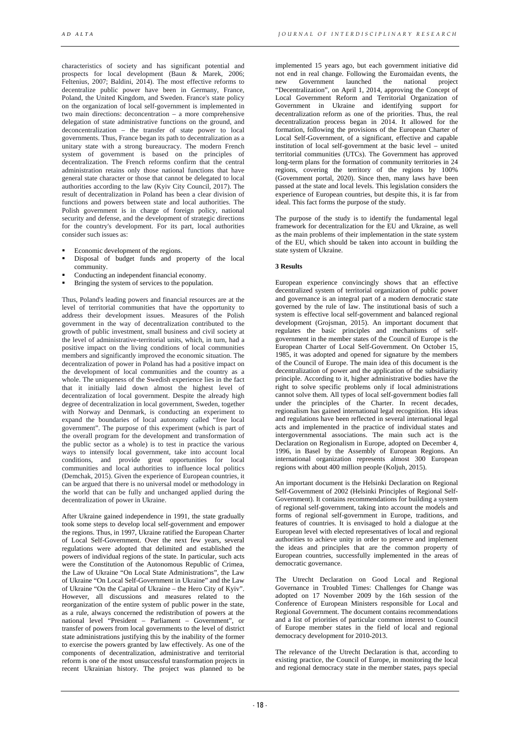characteristics of society and has significant potential and prospects for local development (Baun & Marek, 2006; Feltenius, 2007; Baldini, 2014). The most effective reforms to decentralize public power have been in Germany, France, Poland, the United Kingdom, and Sweden. France's state policy on the organization of local self-government is implemented in two main directions: deconcentration – a more comprehensive delegation of state administrative functions on the ground, and deconcentralization – the transfer of state power to local governments. Thus, France began its path to decentralization as a unitary state with a strong bureaucracy. The modern French system of government is based on the principles of decentralization. The French reforms confirm that the central administration retains only those national functions that have general state character or those that cannot be delegated to local authorities according to the law (Kyiv City Council, 2017). The result of decentralization in Poland has been a clear division of functions and powers between state and local authorities. The Polish government is in charge of foreign policy, national security and defense, and the development of strategic directions for the country's development. For its part, local authorities consider such issues as:

- Economic development of the regions.
- Disposal of budget funds and property of the local community.
- Conducting an independent financial economy.
- Bringing the system of services to the population.

Thus, Poland's leading powers and financial resources are at the level of territorial communities that have the opportunity to address their development issues. Measures of the Polish government in the way of decentralization contributed to the growth of public investment, small business and civil society at the level of administrative-territorial units, which, in turn, had a positive impact on the living conditions of local communities members and significantly improved the economic situation. The decentralization of power in Poland has had a positive impact on the development of local communities and the country as a whole. The uniqueness of the Swedish experience lies in the fact that it initially laid down almost the highest level of decentralization of local government. Despite the already high degree of decentralization in local government, Sweden, together with Norway and Denmark, is conducting an experiment to expand the boundaries of local autonomy called "free local government". The purpose of this experiment (which is part of the overall program for the development and transformation of the public sector as a whole) is to test in practice the various ways to intensify local government, take into account local conditions, and provide great opportunities for local communities and local authorities to influence local politics (Demchak, 2015). Given the experience of European countries, it can be argued that there is no universal model or methodology in the world that can be fully and unchanged applied during the decentralization of power in Ukraine.

After Ukraine gained independence in 1991, the state gradually took some steps to develop local self-government and empower the regions. Thus, in 1997, Ukraine ratified the European Charter of Local Self-Government. Over the next few years, several regulations were adopted that delimited and established the powers of individual regions of the state. In particular, such acts were the Constitution of the Autonomous Republic of Crimea, the Law of Ukraine "On Local State Administrations", the Law of Ukraine "On Local Self-Government in Ukraine" and the Law of Ukraine "On the Capital of Ukraine – the Hero City of Kyiv". However, all discussions and measures related to the reorganization of the entire system of public power in the state, as a rule, always concerned the redistribution of powers at the national level "President – Parliament – Government", or transfer of powers from local governments to the level of district state administrations justifying this by the inability of the former to exercise the powers granted by law effectively. As one of the components of decentralization, administrative and territorial reform is one of the most unsuccessful transformation projects in recent Ukrainian history. The project was planned to be

implemented 15 years ago, but each government initiative did not end in real change. Following the Euromaidan events, the new Government launched the national project new Government launched the national "Decentralization", on April 1, 2014, approving the Concept of Local Government Reform and Territorial Organization of Government in Ukraine and identifying support for decentralization reform as one of the priorities. Thus, the real decentralization process began in 2014. It allowed for the formation, following the provisions of the European Charter of Local Self-Government, of a significant, effective and capable institution of local self-government at the basic level – united territorial communities (UTCs). The Government has approved long-term plans for the formation of community territories in 24 regions, covering the territory of the regions by 100% (Government portal, 2020). Since then, many laws have been passed at the state and local levels. This legislation considers the experience of European countries, but despite this, it is far from ideal. This fact forms the purpose of the study.

The purpose of the study is to identify the fundamental legal framework for decentralization for the EU and Ukraine, as well as the main problems of their implementation in the state system of the EU, which should be taken into account in building the state system of Ukraine.

#### **3 Results**

European experience convincingly shows that an effective decentralized system of territorial organization of public power and governance is an integral part of a modern democratic state governed by the rule of law. The institutional basis of such a system is effective local self-government and balanced regional development (Grojsman, 2015). An important document that regulates the basic principles and mechanisms of selfgovernment in the member states of the Council of Europe is the European Charter of Local Self-Government. On October 15, 1985, it was adopted and opened for signature by the members of the Council of Europe. The main idea of this document is the decentralization of power and the application of the subsidiarity principle. According to it, higher administrative bodies have the right to solve specific problems only if local administrations cannot solve them. All types of local self-government bodies fall under the principles of the Charter. In recent decades, regionalism has gained international legal recognition. His ideas and regulations have been reflected in several international legal acts and implemented in the practice of individual states and intergovernmental associations. The main such act is the Declaration on Regionalism in Europe, adopted on December 4, 1996, in Basel by the Assembly of European Regions. An international organization represents almost 300 European regions with about 400 million people (Koljuh, 2015).

An important document is the Helsinki Declaration on Regional Self-Government of 2002 (Helsinki Principles of Regional Self-Government). It contains recommendations for building a system of regional self-government, taking into account the models and forms of regional self-government in Europe, traditions, and features of countries. It is envisaged to hold a dialogue at the European level with elected representatives of local and regional authorities to achieve unity in order to preserve and implement the ideas and principles that are the common property of European countries, successfully implemented in the areas of democratic governance.

The Utrecht Declaration on Good Local and Regional Governance in Troubled Times: Challenges for Change was adopted on 17 November 2009 by the 16th session of the Conference of European Ministers responsible for Local and Regional Government. The document contains recommendations and a list of priorities of particular common interest to Council of Europe member states in the field of local and regional democracy development for 2010-2013.

The relevance of the Utrecht Declaration is that, according to existing practice, the Council of Europe, in monitoring the local and regional democracy state in the member states, pays special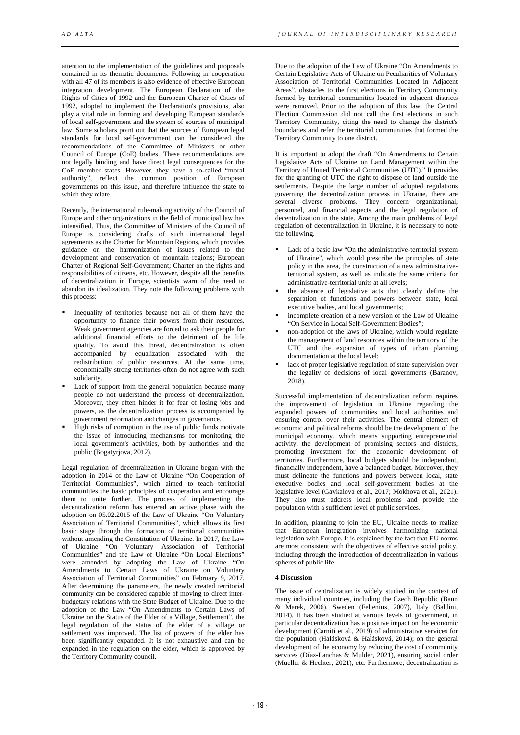attention to the implementation of the guidelines and proposals contained in its thematic documents. Following in cooperation with all 47 of its members is also evidence of effective European integration development. The European Declaration of the Rights of Cities of 1992 and the European Charter of Cities of 1992, adopted to implement the Declaration's provisions, also play a vital role in forming and developing European standards of local self-government and the system of sources of municipal law. Some scholars point out that the sources of European legal standards for local self-government can be considered the recommendations of the Committee of Ministers or other Council of Europe (CoE) bodies. These recommendations are not legally binding and have direct legal consequences for the CoE member states. However, they have a so-called "moral authority", reflect the common position of European governments on this issue, and therefore influence the state to which they relate.

Recently, the international rule-making activity of the Council of Europe and other organizations in the field of municipal law has intensified. Thus, the Committee of Ministers of the Council of Europe is considering drafts of such international legal agreements as the Charter for Mountain Regions, which provides guidance on the harmonization of issues related to the development and conservation of mountain regions; European Charter of Regional Self-Government; Charter on the rights and responsibilities of citizens, etc. However, despite all the benefits of decentralization in Europe, scientists warn of the need to abandon its idealization. They note the following problems with this process:

- Inequality of territories because not all of them have the opportunity to finance their powers from their resources. Weak government agencies are forced to ask their people for additional financial efforts to the detriment of the life quality. To avoid this threat, decentralization is often accompanied by equalization associated with the redistribution of public resources. At the same time, economically strong territories often do not agree with such solidarity.
- Lack of support from the general population because many people do not understand the process of decentralization. Moreover, they often hinder it for fear of losing jobs and powers, as the decentralization process is accompanied by government reformation and changes in governance.
- High risks of corruption in the use of public funds motivate the issue of introducing mechanisms for monitoring the local government's activities, both by authorities and the public (Bogatyrjova, 2012).

Legal regulation of decentralization in Ukraine began with the adoption in 2014 of the Law of Ukraine "On Cooperation of Territorial Communities", which aimed to teach territorial communities the basic principles of cooperation and encourage them to unite further. The process of implementing the decentralization reform has entered an active phase with the adoption on 05.02.2015 of the Law of Ukraine "On Voluntary Association of Territorial Communities", which allows its first basic stage through the formation of territorial communities without amending the Constitution of Ukraine. In 2017, the Law of Ukraine "On Voluntary Association of Territorial Communities" and the Law of Ukraine "On Local Elections" were amended by adopting the Law of Ukraine "On Amendments to Certain Laws of Ukraine on Voluntary Association of Territorial Communities" on February 9, 2017. After determining the parameters, the newly created territorial community can be considered capable of moving to direct interbudgetary relations with the State Budget of Ukraine. Due to the adoption of the Law "On Amendments to Certain Laws of Ukraine on the Status of the Elder of a Village, Settlement", the legal regulation of the status of the elder of a village or settlement was improved. The list of powers of the elder has been significantly expanded. It is not exhaustive and can be expanded in the regulation on the elder, which is approved by the Territory Community council.

Due to the adoption of the Law of Ukraine "On Amendments to Certain Legislative Acts of Ukraine on Peculiarities of Voluntary Association of Territorial Communities Located in Adjacent Areas", obstacles to the first elections in Territory Community formed by territorial communities located in adjacent districts were removed. Prior to the adoption of this law, the Central Election Commission did not call the first elections in such Territory Community, citing the need to change the district's boundaries and refer the territorial communities that formed the Territory Community to one district.

It is important to adopt the draft "On Amendments to Certain Legislative Acts of Ukraine on Land Management within the Territory of United Territorial Communities (UTC)." It provides for the granting of UTC the right to dispose of land outside the settlements. Despite the large number of adopted regulations governing the decentralization process in Ukraine, there are several diverse problems. They concern organizational, personnel, and financial aspects and the legal regulation of decentralization in the state. Among the main problems of legal regulation of decentralization in Ukraine, it is necessary to note the following.

- Lack of a basic law "On the administrative-territorial system of Ukraine", which would prescribe the principles of state policy in this area, the construction of a new administrativeterritorial system, as well as indicate the same criteria for administrative-territorial units at all levels;
- the absence of legislative acts that clearly define the separation of functions and powers between state, local executive bodies, and local governments;
- incomplete creation of a new version of the Law of Ukraine "On Service in Local Self-Government Bodies";
- non-adoption of the laws of Ukraine, which would regulate the management of land resources within the territory of the UTC and the expansion of types of urban planning documentation at the local level;
- lack of proper legislative regulation of state supervision over the legality of decisions of local governments (Baranov, 2018).

Successful implementation of decentralization reform requires the improvement of legislation in Ukraine regarding the expanded powers of communities and local authorities and ensuring control over their activities. The central element of economic and political reforms should be the development of the municipal economy, which means supporting entrepreneurial activity, the development of promising sectors and districts, promoting investment for the economic development of territories. Furthermore, local budgets should be independent, financially independent, have a balanced budget. Moreover, they must delineate the functions and powers between local, state executive bodies and local self-government bodies at the legislative level (Gavkalova et al., 2017; Mokhova et al., 2021). They also must address local problems and provide the population with a sufficient level of public services.

In addition, planning to join the EU, Ukraine needs to realize that European integration involves harmonizing national legislation with Europe. It is explained by the fact that EU norms are most consistent with the objectives of effective social policy, including through the introduction of decentralization in various spheres of public life.

## **4 Discussion**

The issue of centralization is widely studied in the context of many individual countries, including the Czech Republic (Baun & Marek, 2006), Sweden (Feltenius, 2007), Italy (Baldini, 2014). It has been studied at various levels of government, in particular decentralization has a positive impact on the economic development (Carniti et al., 2019) of administrative services for the population (Halásková & Halásková, 2014); on the general development of the economy by reducing the cost of community services (Díaz-Lanchas & Mulder, 2021), ensuring social order (Mueller & Hechter, 2021), etc. Furthermore, decentralization is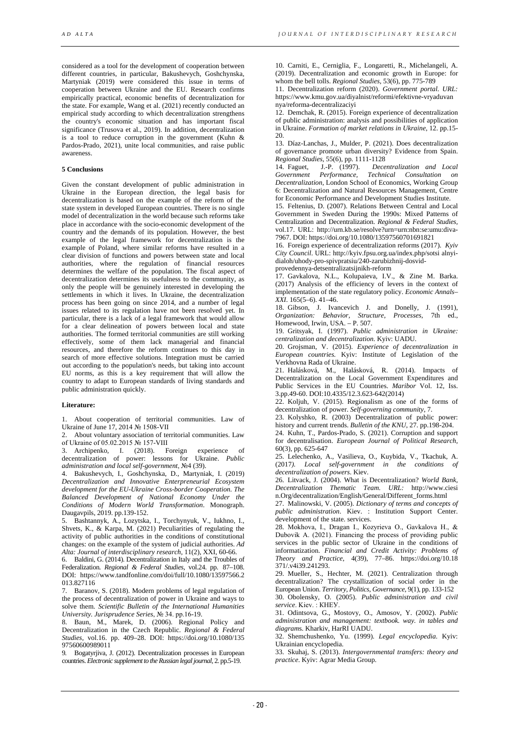considered as a tool for the development of cooperation between different countries, in particular, Bakushevych, Goshchynska, Martyniak (2019) were considered this issue in terms of cooperation between Ukraine and the EU. Research confirms empirically practical, economic benefits of decentralization for the state. For example, Wang et al. (2021) recently conducted an empirical study according to which decentralization strengthens the country's economic situation and has important fiscal significance (Trusova et al., 2019). In addition, decentralization is a tool to reduce corruption in the government (Kuhn & Pardos-Prado, 2021), unite local communities, and raise public awareness.

### **5 Conclusions**

Given the constant development of public administration in Ukraine in the European direction, the legal basis for decentralization is based on the example of the reform of the state system in developed European countries. There is no single model of decentralization in the world because such reforms take place in accordance with the socio-economic development of the country and the demands of its population. However, the best example of the legal framework for decentralization is the example of Poland, where similar reforms have resulted in a clear division of functions and powers between state and local authorities, where the regulation of financial resources determines the welfare of the population. The fiscal aspect of decentralization determines its usefulness to the community, as only the people will be genuinely interested in developing the settlements in which it lives. In Ukraine, the decentralization process has been going on since 2014, and a number of legal issues related to its regulation have not been resolved yet. In particular, there is a lack of a legal framework that would allow for a clear delineation of powers between local and state authorities. The formed territorial communities are still working effectively, some of them lack managerial and financial resources, and therefore the reform continues to this day in search of more effective solutions. Integration must be carried out according to the population's needs, but taking into account EU norms, as this is a key requirement that will allow the country to adapt to European standards of living standards and public administration quickly.

#### **Literature:**

1. About cooperation of territorial communities. Law of Ukraine of June 17, 2014 № 1508-VII

2. About voluntary association of territorial communities. Law of Ukraine of 05.02.2015 № 157-VIII

3. Archipenko, I. (2018). Foreign experience decentralization of power: lessons for Ukraine. *Public administration and local self-government*, №4 (39).

4. Bakushevych, I., Goshchynska, D., Martyniak, I. (2019) *Decentralization and Innovative Enterpreneurial Ecosystem development for the EU-Ukraine Cross-border Cooperation. The Balanced Development of National Economy Under the Conditions of Modern World Transformation*. Monograph. Daugavpils, 2019. pp.139-152.

5. Bashtannyk, A., Lozytska, I., Torchynyuk, V., Iukhno, I., Shvets, K., & Karpa, M. (2021) Peculiarities of regulating the activity of public authorities in the conditions of constitutional changes: on the example of the system of judicial authorities. *Ad Alta: Journal of interdisciplinary research,* 11(2), XXI, 60-66.

6. Baldini, G. (2014). Decentralization in Italy and the Troubles of Federalization*. Regional & Federal Studies*, vol.24. pp. 87–108. DOI: https://www.tandfonline.com/doi/full/10.1080/13597566.2 013.827116

7. Baranov, S. (2018). Modern problems of legal regulation of the process of decentralization of power in Ukraine and ways to solve them. *Scientific Bulletin of the International Humanities University. Jurisprudence Series*, № 34. pp.16-19.

8. Baun, M., Marek, D. (2006). Regional Policy and Decentralization in the Czech Republic. *Regional & Federal Studies,* vol.16. pp. 409–28. DOI: https://doi.org/10.1080/135 97560600989011

9. Bogatyrjiva, J. (2012). Decentralization processes in European countries. *Electronic supplement to the Russian legal journal,* 2. pp.5-19.

10. Carniti, E., Cerniglia, F., Longaretti, R., Michelangeli, A. (2019). Decentralization and economic growth in Europe: for whom the bell tolls. *Regional Studies*, 53(6), pp. 775-789

11. Decentralization reform (2020). *Government portal. URL:* https://www.kmu.gov.ua/diyalnist/reformi/efektivne-vryaduvan nya/reforma-decentralizaciyi

12. Demchak, R. (2015). Foreign experience of decentralization of public administration: analysis and possibilities of application in Ukraine. *Formation of market relations in Ukraine*, 12. pp.15- 20.

13. Díaz-Lanchas, J., Mulder, P. (2021). Does decentralization of governance promote urban diversity? Evidence from Spain.

*Regional Studies*, 55(6), pp. 1111-1128 1.-P. (1997). *Decentralization and Local Performance*, *Technical Consultation on Government Performance, Technical Consultation on Decentralization*, London School of Economics, Working Group 6: Decentralization and Natural Resources Management, Centre for Economic Performance and Development Studies Institute.

15. Feltenius, D. (2007). Relations Between Central and Local Government in Sweden During the 1990s: Mixed Patterns of Centralization and Decentralization. *Regional & Federal Studies,* vol.17. URL: http://urn.kb.se/resolve?urn=urn:nbn:se:umu:diva-7967. DOI: https://doi.org/10.1080/13597560701691821

16. Foreign experience of decentralization reforms (2017). *Kyiv City Council*. URL: http://kyiv.fpsu.org.ua/index.php/sotsi alnyidialoh/uhody-pro-spivpratsiu/240-zarubizhnij-dosvidprovedennya-detsentralizatsijnikh-reform

17. Gavkalova, N.L., Kolupaieva, I.V., & Zine M. Barka. (2017) Analysis of the efficiency of levers in the context of implementation of the state regulatory policy. *Economic Annals– XXI*. 165(5–6). 41–46.

18. Gibson, J. Ivancevich J. and Donelly, J. (1991), *Organization: Behavior, Structure, Processes*, 7th ed., Homewood, Irwin, USA. – P. 507.

19. Gritsyak, I. (1997). *Public administration in Ukraine: centralization and decentralization.* Kyiv: UADU.

20. Grojsman, V. (2015). *Experience of decentralization in European countries.* Kyiv: Institute of Legislation of the Verkhovna Rada of Ukraine.

21. Halásková, M., Halásková, R. (2014). Impacts of Decentralization on the Local Government Expenditures and Public Services in the EU Countries. *Maribor* Vol. 12, Iss. 3.pp.49-60. DOI:10.4335/12.3.623-642(2014)

22. Koljuh, V. (2015). Regionalism as one of the forms of decentralization of power. *Self-governing community*, 7.

23. Kolyshko, R. (2003) Decentralization of public power: history and current trends. *Bulletin of the KNU*, 27. pp.198-204.

24. Kuhn, T., Pardos-Prado, S. (2021). Corruption and support for decentralisation. *European Journal of Political Research*, 60(3), pp. 625-647

25. Lelechenko, A., Vasilieva, O., Kuybida, V., Tkachuk, A. (2017*). Local self-government in the conditions of decentralization of powers*. Kiev.

26. Litvack, J. (2004). What is Decentralization? *World Bank, Decentralization Thematic Team. URL:* http://www.ciesi n.Org/decentralization/English/General/Different\_forms.html

27. Malinowski, V. (2005). *Dictionary of terms and concepts of public administration*. Kiev. : Institution Support Center. development of the state. services.

28. Mokhova, І., Dragan І., Коzyrieva О., Gavkalova Н., & Dubovik А. (2021). Financing the process of providing public services in the public sector of Ukraine in the conditions of informatization. *Financial and Credit Activity: Problems of Theory and Practice*, 4(39), 77–86. https://doi.org/10.18 371/.v4i39.241293.

29. Mueller, S., Hechter, M. (2021). Centralization through decentralization? The crystallization of social order in the European Union. *Territory, Politics, Governance*, 9(1), pp. 133-152

30. Obolensky, O. (2005). *Public administration and civil service*. Kiev. : КНЕУ.

31. Odintsova, G., Mostovy, O., Amosov, Y. (2002). *Public administration and management: textbook. way. in tables and diagram*s. Kharkiv, HarRI UADU.

32. Shemchushenko, Yu. (1999). *Legal encyclopedia.* Kyiv: Ukrainian encyclopedia.

33. Skuhaj, S. (2013). *Intergovernmental transfers: theory and practice*. Kyiv: Agrar Media Group.